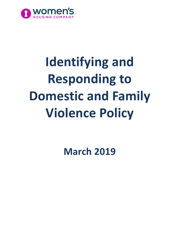

# **Identifying and Responding to Domestic and Family Violence Policy**

**March 2019**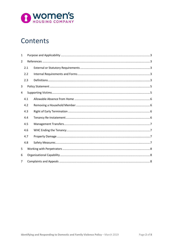

# Contents

| $\mathbf{1}$   |     |  |
|----------------|-----|--|
| $\overline{2}$ |     |  |
|                | 2.1 |  |
|                | 2.2 |  |
|                | 2.3 |  |
| 3              |     |  |
| 4              |     |  |
|                | 4.1 |  |
|                | 4.2 |  |
|                | 4.3 |  |
|                | 4.4 |  |
|                | 4.5 |  |
|                | 4.6 |  |
|                | 4.7 |  |
|                | 4.8 |  |
| 5              |     |  |
| 6              |     |  |
| $\overline{7}$ |     |  |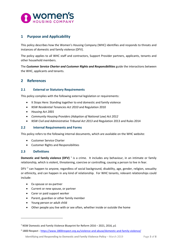

# <span id="page-2-0"></span>**1 Purpose and Applicability**

This policy describes how the Women's Housing Company (WHC) identifies and responds to threats and instances of domestic and family violence (DFV).

The policy applies to all WHC staff and contractors, Support Provider partners, applicants, tenants and other household members.

The *Customer Service Charter and Customer Rights and Responsibilities* guide the interactions between the WHC, applicants and tenants.

### <span id="page-2-1"></span>**2 References**

#### <span id="page-2-2"></span>**2.1 External or Statutory Requirements**

This policy complies with the following external legislation or requirements:

- It Stops Here: Standing together to end domestic and family violence
- *NSW Residential Tenancies Act 2010* and Regulation 2010
- *Housing Act 2001*
- *Community Housing Providers (Adoption of National Law) Act 2012*
- *NSW Civil and Administrative Tribunal Act 2013* and Regulation 2013 and Rules 2014

#### <span id="page-2-3"></span>**2.2 Internal Requirements and Forms**

This policy refers to the following internal documents, which are available on the WHC website:

- Customer Service Charter
- Customer Rights and Responsibilities

#### <span id="page-2-4"></span>**2.3 Definitions**

 $\overline{a}$ 

**Domestic and family violence (DFV)** <sup>[1](#page-2-5)</sup> is a crime. It includes any behaviour, in an intimate or family relationship, which is violent, threatening, coercive or controlling, causing a person to live in fear.

DFV  $^2$  $^2$  can happen to anyone, regardless of social background, disability, age, gender, religion, sexuality or ethnicity, and can happen in any kind of relationship. For WHC tenants, relevant relationships could include:

- Ex-spouse or ex-partner
- Current or new spouse, or partner
- Carer or paid support worker
- Parent, guardian or other family member
- Young person or adult child
- Other people you live with or see often, whether inside or outside the home

<span id="page-2-5"></span><sup>1</sup> NSW Domestic and Family Violence Blueprint for Reform 2016 – 2021, 2016, p1

<span id="page-2-6"></span><sup>2</sup> 1800 Respect - <https://www.1800respect.org.au/violence-and-abuse/domestic-and-family-violence/>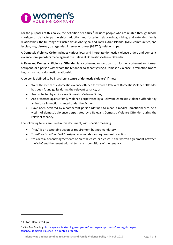

For the purposes of this policy, the definition of **Family** [3](#page-3-0) includes people who are related through blood, marriage or de facto partnerships, adoption and fostering relationships, sibling and extended family relationships, the full range of kinship ties in Aboriginal and Torres Strait Islander (ATSI) communities, and lesbian, gay, bisexual, transgender, intersex or queer (LGBTIQ) relationships.

A **Domestic Violence Order** includes various local and interstate domestic violence orders and domestic violence foreign orders made against the Relevant Domestic Violence Offender.

A **Relevant Domestic Violence Offender** is a co-tenant or occupant or former co-tenant or former occupant, or a person with whom the tenant or co-tenant giving a Domestic Violence Termination Notice has, or has had, a domestic relationship.

A person is defined to be in a **circumstance of domestic violence[4](#page-3-1)** if they:

- Were the victim of a domestic violence offence for which a Relevant Domestic Violence Offender has been found guilty during the relevant tenancy, or
- Are protected by an in-force Domestic Violence Order, or
- Are protected against family violence perpetrated by a Relevant Domestic Violence Offender by an in-force injunction granted under the Act, or
- Have been declared by a competent person (defined to mean a medical practitioner) to be a victim of domestic violence perpetrated by a Relevant Domestic Violence Offender during the relevant tenancy.

The following terms are used in this document, with specific meaning:

- "may" is an acceptable action or requirement but not mandatory
- "must" or "shall" or "will" designates a mandatory requirement or action
- "residential tenancy agreement" or "rental lease" or "lease" is the written agreement between the WHC and the tenant with all terms and conditions of the tenancy.

 $\overline{a}$ 

<span id="page-3-0"></span><sup>&</sup>lt;sup>3</sup> It Stops Here, 2014, p7

<span id="page-3-1"></span><sup>4</sup> NSW Fair Trading - [https://www.fairtrading.nsw.gov.au/housing-and-property/renting/during-a](https://www.fairtrading.nsw.gov.au/housing-and-property/renting/during-a-tenancy/domestic-violence-in-a-rented-property)[tenancy/domestic-violence-in-a-rented-property](https://www.fairtrading.nsw.gov.au/housing-and-property/renting/during-a-tenancy/domestic-violence-in-a-rented-property)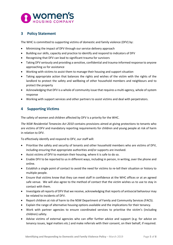

# <span id="page-4-0"></span>**3 Policy Statement**

The WHC is committed to supporting victims of domestic and family violence (DFV) by:

- Minimising the impact of DFV through our service delivery approach
- Building our skills, capacity and practice to identify and respond to indicators of DFV
- Recognising that DFV can lead to significant trauma for survivors
- Taking DFV seriously and providing a sensitive, confidential and trauma-informed response to anyone approaching us for assistance
- Working with victims to assist them to manage their housing and support situation
- Taking appropriate action that balances the rights and wishes of the victim with the rights of the landlord to protect the safety and wellbeing of other household members and neighbours and to protect the property
- Acknowledging that DFV is a whole of community issue that requires a multi-agency, whole of system response
- Working with support services and other partners to assist victims and deal with perpetrators.

# <span id="page-4-1"></span>**4 Supporting Victims**

The safety of women and children affected by DFV is a priority for the WHC.

*The NSW Residential Tenancies Act 2010* contains provisions aimed at giving protections to tenants who are victims of DFV and mandatory reporting requirements for children and young people at risk of harm in relation to DFV.

To effectively identify and respond to DFV, our staff will:

- Prioritise the safety and security of tenants and other household members who are victims of DFV, including ensuring that appropriate authorities and/or supports are involved.
- Assist victims of DFV to maintain their housing, where it is safe to do so.
- Enable DFV to be reported to us in different ways, including in person, in writing, over the phone and online.
- Establish a single point of contact to avoid the need for victims to re-tell their situation or history to multiple people.
- Ensure that victims know that they can meet staff in confidence at the WHC offices or at an agreed safe venue. We will also agree to the method of contact that the victim wishes us to use to stay in contact with them.
- Investigate all reports of DFV that we receive, acknowledging that reports of antisocial behaviour may be related to incidents of DFV.
- Report children at risk of harm to the NSW Department of Family and Community Services (FACS).
- Explain the range of alternative housing options available and the implications for their tenancy.
- Work with partner agencies to ensure coordinated services to prioritise the victim's (including children) safety.
- Advise victims of external agencies who can offer further advice and support (e.g. for advice on tenancy issues, legal matters etc.) and make referrals with their consent, on their behalf, if required.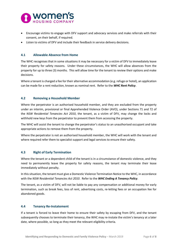

- Encourage victims to engage with DFV support and advocacy services and make referrals with their consent, on their behalf, if required.
- Listen to victims of DFV and include their feedback in service delivery decisions.

#### <span id="page-5-0"></span>**4.1 Allowable Absence from Home**

The WHC recognises that in some situations it may be necessary for a victim of DFV to immediately leave their property for safety reasons. Under these circumstances, the WHC will allow absences from the property for up to three (3) months. This will allow time for the tenant to review their options and make decisions.

Where a tenant is charged a fee for their alternative accommodation (e.g. refuge or hotel), an application can be made for a rent reduction, known as nominal rent. Refer to the *WHC Rent Policy*.

#### <span id="page-5-1"></span>**4.2 Removing a Household Member**

Where the perpetrator is an authorised household member, and they are excluded from the property under an interim, provisional or final Apprehended Violence Order (AVO), under Sections 71 and 72 of the *NSW Residential Tenancies Act 2010*, the tenant, as a victim of DFV, may change the locks and withhold new keys from the perpetrator to prevent them from accessing the property.

The WHC will assist the tenant to change the perpetrator's status to an unauthorised occupant and take appropriate actions to remove them from the property.

Where the perpetrator is not an authorised household member, the WHC will work with the tenant and where required refer them to specialist support and legal services to ensure their safety.

#### <span id="page-5-2"></span>**4.3 Right of Early Termination**

Where the tenant or a dependent child of the tenant is in a circumstance of domestic violence, and they need to permanently leave the property for safety reasons, the tenant may terminate their lease immediately without penalty.

In this situation, the tenant must give a Domestic Violence Termination Notice to the WHC, in accordance with the *NSW Residential Tenancies Act 2010*. Refer to the *WHC Ending A Tenancy Policy*.

The tenant, as a victim of DFV, will not be liable to pay any compensation or additional money for early termination, such as break fees, loss of rent, advertising costs, re-letting fees or an occupation fee for abandoned goods.

#### <span id="page-5-3"></span>**4.4 Tenancy Re-Instatement**

If a tenant is forced to leave their home to ensure their safety by escaping from DFV, and the tenant subsequently chooses to terminate their tenancy, the WHC may re-instate the victim's tenancy at a later date, where possible, so long as they meet the relevant eligibility criteria.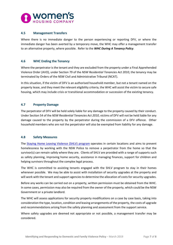

#### <span id="page-6-0"></span>**4.5 Management Transfers**

Where there is no immediate danger to the person experiencing or reporting DFV, or where the immediate danger has been averted by a temporary move, the WHC may offer a management transfer to an alternative property, where possible. Refer to the *WHC During A Tenancy Policy*.

#### <span id="page-6-1"></span>**4.6 WHC Ending the Tenancy**

Where the perpetrator is the tenant and they are excluded from the property under a Final Apprehended Violence Order (AVO), under Section 79 of the *NSW Residential Tenancies Act 2010*, the tenancy may be terminated by Orders of the NSW Civil and Administrative Tribunal (NCAT).

In this situation, if the victim of DFV is an authorised household member, but not a tenant named on the property lease, and they meet the relevant eligibility criteria, the WHC will assist the victim to secure safe housing, which may include crisis or transitional accommodation or succession of the existing tenancy.

#### <span id="page-6-2"></span>**4.7 Property Damage**

The perpetrator of DFV will be held solely liable for any damage to the property caused by their conduct. Under Section 54 of the *NSW Residential Tenancies Act 2010*, victims of DFV will not be held liable for any damage caused to the property by the perpetrator during the commission of a DFV offence. Other household members who are not the perpetrator will also be exempted from liability for any damage.

#### <span id="page-6-3"></span>**4.8 Safety Measures**

The [Staying Home Leaving Violence \(SHLV\) program](https://www.facs.nsw.gov.au/domestic-violence/services-and-support/programs/staying-home-leaving-violence) operates in certain locations and aims to prevent homelessness by working with the NSW Police to remove a perpetrator from the home so that the survivor(s) can remain safely where they are. Clients of SHLV are provided with a range of supports such as safety planning, improving home security, assistance in managing finances, support for children and helping survivors throughout the complex legal process.

The WHC is committed to assisting tenants engaged with the SHLV program to stay in their homes whenever possible. We may be able to assist with installation of security upgrades at the property and will work with the tenant and support agencies to determine the allocation of costs for security upgrades.

Before any works can be carried out on a property, written permission must be obtained from the WHC. In some cases, permission may also be required from the owner of the property, which could be the NSW Government or a private landlord.

The WHC will assess applications for security property modifications on a case by case basis, taking into consideration the type, location, condition and leasing arrangements of the property, the costs of upgrade and recommendations arising from the safety planning and assessment from the support service.

Where safety upgrades are deemed not appropriate or not possible, a management transfer may be considered.